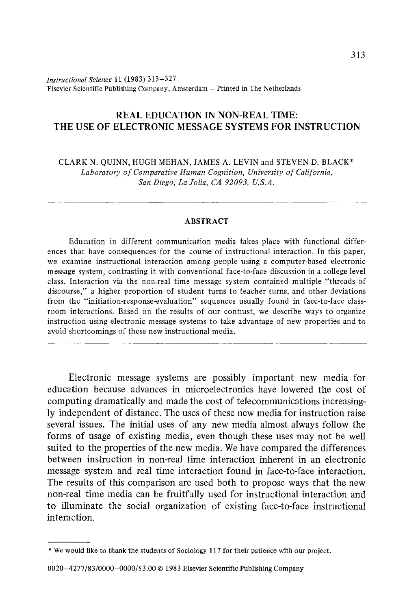*Instructional Science* 11 (1983) 313-327 Elsevier Scientific Publishing Company, Amsterdam - Printed in The Netherlands

# **REAL EDUCATION IN NON-REAL TIME: THE USE OF ELECTRONIC MESSAGE SYSTEMS FOR INSTRUCTION**

CLARK N. QUINN, HUGH MEHAN, JAMES A. LEVIN and STEVEN D. BLACK\* *Laboratory of Comparative Human Cognition, University of California, San Diego, La Jolla, CA 92093, U.S.A.* 

### **ABSTRACT**

Education in different communication media takes place with functional differences that have consequences for the course of instructional interaction. In this paper, we examine instructional interaction among people using a computer-based electronic message system, contrasting it with conventional face-to-face discussion in a college level class. Interaction via the non-real time message system contained multiple "threads of discourse," a higher proportion of student turns to teacher turns, and other deviations from the "initiation-response-evaluation" sequences usually found in face-to-face classroom interactions. Based on the results of our contrast, we describe ways to organize instruction using electronic message systems to take advantage of new properties and to avoid shortcomings of these new instructional media.

Electronic message systems are possibly important new media for education because advances in microelectronics have lowered the cost of computing dramatically and made the cost of telecommunications increasingly independent of distance. The uses of these new media for instruction raise several issues. The initial uses of any new media almost always follow the forms of usage of existing media, even though these uses may not be well suited to the properties of the new media. We have compared the differences between instruction in non-real time interaction inherent in an electronic message system and real time interaction found in face-to-face interaction. The results of this comparison are used both to propose ways that the new non-real time media can be fruitfully used for instructional interaction and to illuminate the social organization of existing face-to-face instructional interaction.

<sup>\*</sup> We would like to thank the students of Sociology 117 for their patience with our project.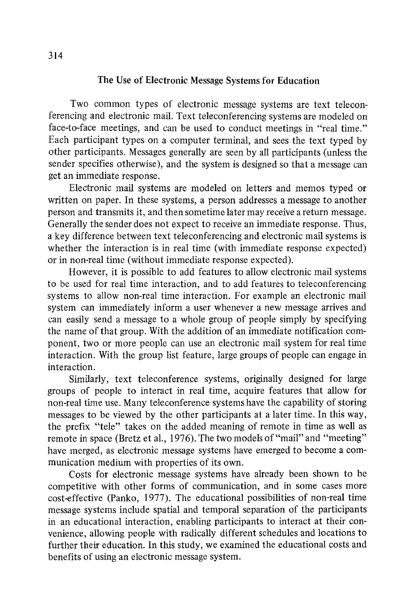### The Use of Electronic Message Systems for Education

Two common types of electronic message systems are text teleconferencing and electronic mail. Text teleconferencing systems are modeled on face-to-face meetings, and can be used to conduct meetings in "real time." Each participant types on a computer terminal, and sees the text typed by other participants. Messages generally are seen by all participants (unless the sender specifies otherwise), and the system is designed so that a message can get an immediate response.

Electronic mail systems are modeled on letters and memos typed or written on paper. In these systems, a person addresses a message to another person and transmits it, and then sometime later may receive a return message. Generally the sender does not expect to receive an immediate response. Thus, a key difference between text teleconferencing and electronic mail systems is whether the interaction is in real time (with immediate response expected) or in non-real time (without immediate response expected).

However, it is possible to add features to allow electronic mail systems to be used for real time interaction, and to add features to teleconferencing systems to allow non-real time interaction. For example an electronic mail system can immediately inform a user whenever a new message arrives and can easily send a message to a whole group of people simply by specifying the name of that group. With the addition of an immediate notification component, two or more people can use an electronic mail system for real time interaction. With the group list feature, large groups of people can engage in interaction.

Similarly, text teleconference systems, originally designed for large groups of people to interact in real time, acquire features that allow for non-real time use. Many teleconference systems have the capability of storing messages to be viewed by the other participants at a later time. In this way, the prefix "tele" takes on the added meaning of remote in time as well as remote in space (Bretz et al., 1976). The two models of "mail" and "meeting" have merged, as electronic message systems have emerged to become a communication medium with properties of its own.

Costs for electronic message systems have already been shown to be competitive with other forms of communication, and in some cases more cost-effective (Panko, 1977). The educational possibilities of non-real time message systems include spatial and temporal separation of the participants in an educational interaction, enabling participants to interact at their convenience, allowing people with radically different schedules and locations to further their education. In this study, we examined the educational costs and benefits of using an electronic message system.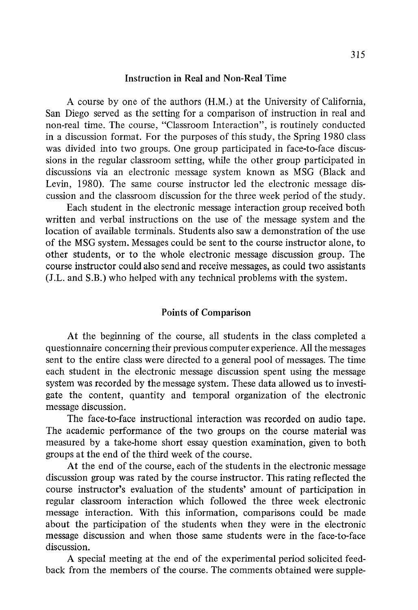### **Instruction in Real and Non-Real Time**

A course by one of the authors **(H.M.)** at the University of California, San Diego served as the setting for a comparison of instruction in real and non-real time. The course, "Classroom Interaction", is routinely conducted in a discussion format. For the purposes of this study, the Spring 1980 class was divided into two groups. One group participated in face-to-face discussions in the regular classroom setting, while the other group participated in discussions via an electronic message system known as MSG (Black and Levin, 1980). The same course instructor led the electronic message discussion and the classroom discussion for the three week period of the study.

Each student in the electronic message interaction group received both written and verbal instructions on the use of the message system and the location of available terminals. Students also saw a demonstration of the use of the MSG system. Messages could be sent to the course instructor alone, to other students, or to the whole electronic message discussion group. The course instructor could also send and receive messages, as could two assistants (J.L. and S.B.) who helped with any technical problems with the system.

## **Points** of **Comparison**

At the beginning of the course, all students in the class completed a questionnaire concerning their previous computer experience. All the messages sent to the entire class were directed to a general pool of messages. The time each student in the electronic message discussion spent using the message system was recorded by the message system. These data allowed us to investigate the content, quantity and temporal organization of the electronic message discussion.

The face-to-face instructional interaction was recorded on audio tape. The academic performance of the two groups on the course material was measured by a take-home short essay question examination, given to both groups at the end of the third week of the course.

At the end of the course, each of the students in the electronic message discussion group was rated by the course instructor. This rating reflected the course instructor's evaluation of the students' amount of participation in regular classroom interaction which followed the three week electronic message interaction. With this information, comparisons could be made about the participation of the students when they were in the electronic message discussion and when those same students were in the face-to-face discussion.

A special meeting at the end of the experimental period solicited feedback from the members of the course. The comments obtained were supple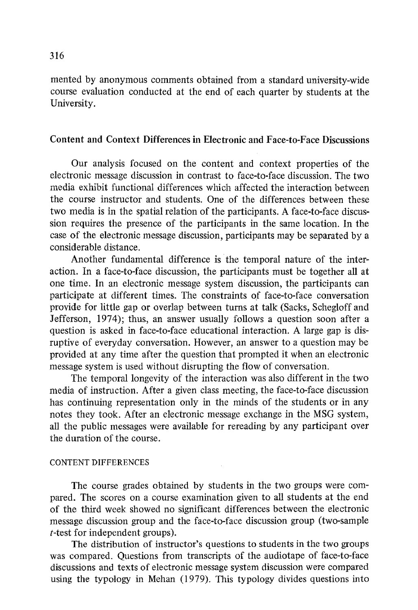mented by anonymous comments obtained from a standard university-wide course evaluation conducted at the end of each quarter by students at the University.

# **Content and Context Differences in Electronic and Face-to-Face Discussions**

Our analysis focused on the content and context properties of the electronic message discussion in contrast to face-to-face discussion. The two media exhibit functional differences which affected the interaction between the course instructor and students. One of the differences between these two media is in the spatial relation of the participants. A face-to-face discussion requires the presence of the participants in the same location. In the case of the electronic message discussion, participants may be separated by a considerable distance.

Another fundamental difference is the temporal nature of the interaction. In a face-to-face discussion, the participants must be together all at one time. In an electronic message system discussion, the participants can participate at different times. The constraints of face-to-face conversation provide for little gap or overlap between turns at talk (Sacks, Schegloff and Jefferson, 1974); thus, an answer usually follows a question soon after a question is asked in face-to-face educational interaction. A large gap is disruptive of everyday conversation. However, an answer to a question may be provided at any time after the question that prompted it when an electronic message system is used without disrupting the flow of conversation.

The temporal longevity of the interaction was also different in the two media of instruction. After a given class meeting, the face-to-face discussion has continuing representation only in the minds of the students or in any notes they took. After an electronic message exchange in the MSG system, all the public messages were available for rereading by any participant over the duration of the course.

## CONTENT DIFFERENCES

The course grades obtained by students in the two groups were compared. The scores on a course examination given to all students at the end of the third week showed no significant differences between the electronic message discussion group and the face-to-face discussion group (two-sample *t-test* for independent groups).

The distribution of instructor's questions to students in the two groups was compared. Questions from transcripts of the audiotape of face-to-face discussions and texts of electronic message system discussion were compared using the typology in Mehan (1979). This typology divides questions into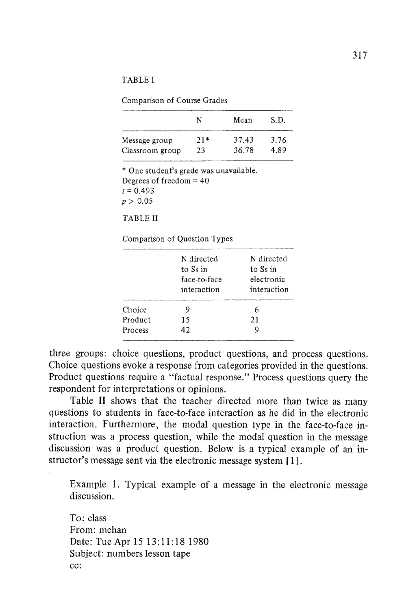#### TABLE I

Comparison of Course Grades

|                                  | N           | Mean           | S.D.         |
|----------------------------------|-------------|----------------|--------------|
| Message group<br>Classroom group | $21*$<br>23 | 37.43<br>36.78 | 3.76<br>4.89 |

\* One student's grade was unavailable. Degrees of freedom  $= 40$ 

 $t = 0.493$ 

 $p > 0.05$ 

TABLE II

Comparison of Question Types

|         | N directed<br>to Ss in<br>face-to-face<br>interaction | N directed<br>to Ss in<br>electronic<br>interaction |
|---------|-------------------------------------------------------|-----------------------------------------------------|
| Choice  |                                                       |                                                     |
| Product | 15                                                    | 21                                                  |
| Process | 42                                                    |                                                     |

three groups: choice questions, product questions, and process questions. Choice questions evoke a response from categories provided in the questions. Product questions require a "factual response." Process questions query the respondent for interpretations or opinions.

Table II shows that the teacher directed more than twice as many questions to students in face-to-face interaction as he did in the electronic interaction. Furthermore, the modal question type in the face-to-face instruction was a process question, while the modal question in the message discussion was a product question. Below is a typical example of an instructor's message sent via the electronic message system [ 1].

Example 1. Typical example of a message in the electronic message discussion.

To: class From: mehan Date: Tue Apr 15 13:11:18 1980 Subject: numbers lesson tape cc: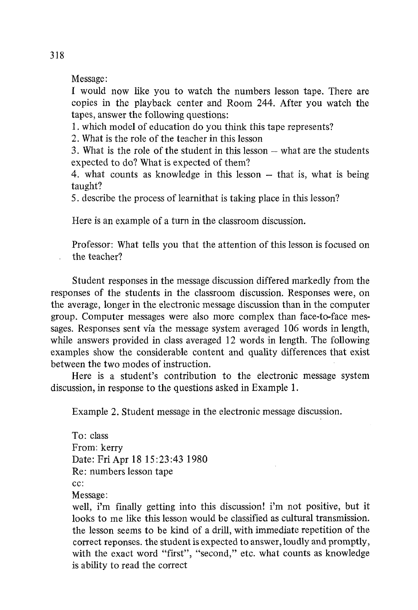Message:

I would now like you to watch the numbers lesson tape. There are copies in the playback center and Room 244. After you watch the tapes, answer the following questions:

1. which model of education do you think this tape represents?

2. What is the role of the teacher in this lesson

3. What is the role of the student in this lesson  $-$  what are the students expected to do? What is expected of them?

4. what counts as knowledge in this lesson  $-$  that is, what is being taught?

5. describe the process of learnithat is taking place in this lesson?

Here is an example of a turn in the classroom discussion.

Professor: What tells you that the attention of this lesson is focused on the teacher?

Student responses in the message discussion differed markedly from the responses of the students in the classroom discussion. Responses were, on the average, longer in the electronic message discussion than in the computer group. Computer messages were also more complex than face•to-face messages. Responses sent via the message system averaged 106 words in length, while answers provided in class averaged 12 words in length. The following examples show the considerable content and quality differences that exist between the two modes of instruction.

Here is a student's contribution to the electronic message system discussion, in response to the questions asked in Example 1.

Example 2. Student message in the electronic message discussion.

To: class From: kerry Date: Fri Apr 18 15:23:43 1980 Re: numbers lesson tape cc: Message:

well, i'm finally getting into this discussion! i'm not positive, but it looks to me like this lesson would be classified as cultural transmission. the lesson seems to be kind of a drill, with immediate repetition of the correct reponses. the student is expected to answer, loudly and promptly, with the exact word "first", "second," etc. what counts as knowledge is ability to read the correct

318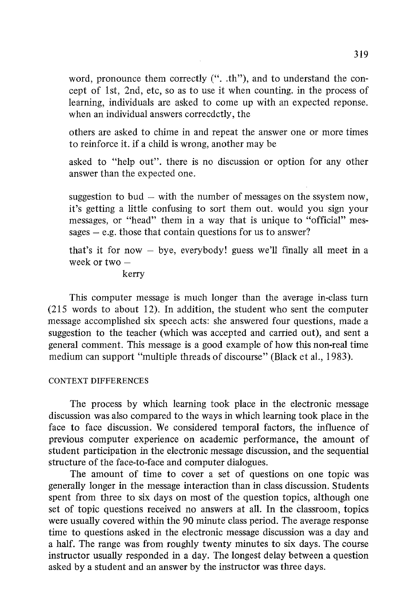word, pronounce them correctly ("...th"), and to understand the concept of 1st, 2nd, etc, so as to use it when counting. in the process of learning, individuals are asked to come up with an expected reponse. when an individual answers correcdctly, the

others are asked to chime in and repeat the answer one or more times to reinforce it. if a child is wrong, another may be

asked to "help out". there is no discussion or option for any other answer than the expected one.

suggestion to bud  $-$  with the number of messages on the ssystem now, it's getting a little confusing to sort them out. would you sign your messages, or "head" them in a way that is unique to "official" messages  $-$  e.g. those that contain questions for us to answer?

that's it for now  $-$  bye, everybody! guess we'll finally all meet in a week or two  $-$ 

kerry

This computer message is much longer than the average in-class turn (215 words to about 12). In addition, the student who sent the computer message accomplished six speech acts: she answered four questions, made a suggestion to the teacher (which was accepted and carried out), and sent a general comment. This message is a good example of how this non-real time medium can support "multiple threads of discourse" (Black et al., 1983).

### CONTEXT DIFFERENCES

The process by which learning took place in the electronic message discussion was also compared to the ways in which learning took place in the face to face discussion. We considered temporal factors, the influence of previous computer experience on academic performance, the amount of student participation in the electronic message discussion, and the sequential structure of the face-to-face and computer dialogues.

The amount of time to cover a set of questions on one topic was generally longer in the message interaction than in class discussion. Students spent from three to six days on most of the question topics, although one set of topic questions received no answers at all. In the classroom, topics were usually covered within the 90 minute class period. The average response time to questions asked in the electronic message discussion was a day and a half. The range was from roughly twenty minutes to six days. The course instructor usually responded in a day. The longest delay between a question asked by a student and an answer by the instructor was three days.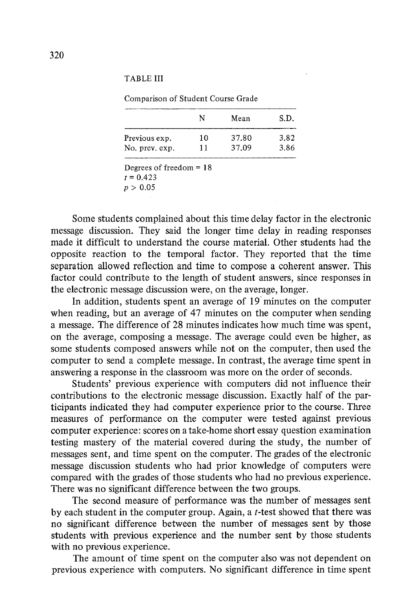### TABLE III

|                | N  | Mean  | S.D. |
|----------------|----|-------|------|
| Previous exp.  | 10 | 37.80 | 3.82 |
| No. prev. exp. | 11 | 37.09 | 3.86 |

Comparison of Student Course Grade

Degrees of freedom = 18  $t = 0.423$ 

 $p > 0.05$ 

Some students complained about this time delay factor in the electronic message discussion. They said the longer time delay in reading responses made it difficult to understand the course material. Other students had the opposite reaction to the temporal factor. They reported that the time separation allowed reflection and time to compose a coherent answer. This factor could contribute to the length of student answers, since responses in the electronic message discussion were, on the average, longer.

In addition, students spent an average of 19 minutes on the computer when reading, but an average of 47 minutes on the computer when sending a message. The difference of 28 minutes indicates how much time was spent, on the average, composing a message. The average could even be higher, as some students composed answers while not on the computer, then used the computer to send a complete message. In contrast, the average time spent in answering a response in the classroom was more on the order of seconds.

Students' previous experience with computers did not influence their contributions to the electronic message discussion. Exactly half of the participants indicated they had computer experience prior to the course. Three measures of performance on the computer were tested against previous computer experience: scores on a take-home short essay question examination testing mastery of the material covered during the study, the number of messages sent, and time spent on the computer. The grades of the electronic message discussion students who had prior knowledge of computers were compared with the grades of those students who had no previous experience. There was no significant difference between the two groups.

The second measure of performance was the number of messages sent by each student in the computer group. Again, a t-test showed that there was no significant difference between the number of messages sent by those students with previous experience and the number sent by those students with no previous experience.

The amount of time spent on the computer also was not dependent on previous experience with computers. No significant difference in time spent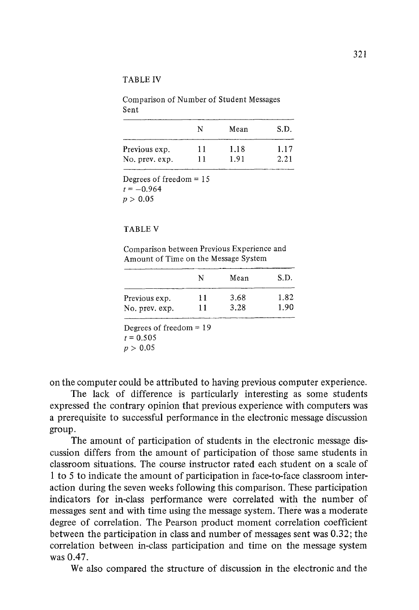|                | N  | Mean | S.D. |
|----------------|----|------|------|
| Previous exp.  | 11 | 1.18 | 1.17 |
| No. prev. exp. | 11 | 1.91 | 2.21 |

Comparison of Number of Student Messages Sent

Degrees of freedom = 15  $t = -0.964$  $p > 0.05$ 

### TABLE V

Comparison between Previous Experience and Amount of Time on the Message System

|                | N  | Mean | S.D. |
|----------------|----|------|------|
| Previous exp.  | 11 | 3.68 | 1.82 |
| No. prev. exp. | 11 | 3.28 | 1.90 |

Degrees of freedom = 19

 $t = 0.505$ 

 $p > 0.05$ 

on the computer could be attributed to having previous computer experience.

The lack of difference is particularly interesting as some students expressed the contrary opinion that previous experience with computers was a prerequisite to successful performance in the electronic message discussion group.

The amount of participation of students in the electronic message discussion differs from the amount of participation of those same students in classroom situations. The course instructor rated each student on a scale of 1 to 5 to indicate the amount of participation in face-to-face classroom interaction during the seven weeks following this comparison. These participation indicators for in-class performance were correlated with the number of messages sent and with time using the message system. There was a moderate degree of correlation. The Pearson product moment correlation coefficient between the participation in class and number of messages sent was 0.32; the correlation between in-class participation and time on the message system was 0.47.

We also compared the structure of discussion in the electronic and the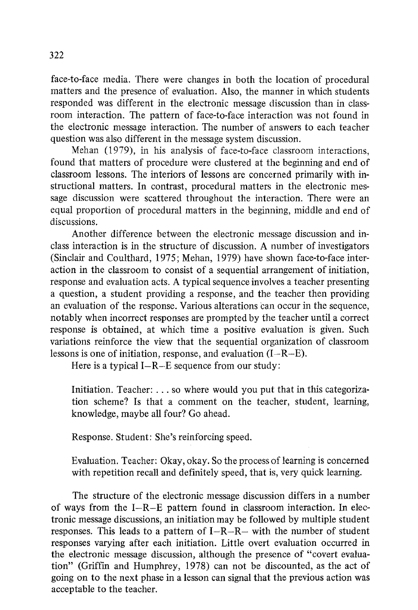face-to-face media. There were changes in both the location of procedural matters and the presence of evaluation. Also, the manner in which students responded was different in the electronic message discussion than in classroom interaction. The pattern of face-to-face interaction was not found in the electronic message interaction. The number of answers to each teacher question was also different in the message system discussion.

Mehan (1979), in his analysis of face-to-face classroom interactions, found that matters of procedure were clustered at the beginning and end of classroom lessons. The interiors of lessons are concerned primarily with instructional matters. In contrast, procedural matters in the electronic message discussion were scattered throughout the interaction. There were an equal proportion of procedural matters in the beginning, middle and end of discussions.

Another difference between the electronic message discussion and inclass interaction is in the structure of discussion. A number of investigators (Sinclair and Coulthard, 1975; Mehan, 1979) have shown face-to-face interaction in the classroom to consist of a sequential arrangement of initiation, response and evaluation acts. A typical sequence involves a teacher presenting a question, a student providing a response, and the teacher then providing an evaluation of the response. Various alterations can occur in the sequence, notably when incorrect responses are prompted by the teacher until a correct response is obtained, at which time a positive evaluation is given. Such variations reinforce the view that the sequential organization of classroom lessons is one of initiation, response, and evaluation  $(I - R - E)$ .

Here is a typical  $I-R-E$  sequence from our study:

Initiation. Teacher: ... so where would you put that in this categorization scheme? Is that a comment on the teacher, student, learning, knowledge, maybe all four? Go ahead.

Response. Student: She's reinforcing speed.

Evaluation. Teacher: Okay, okay. So the process of learning is concerned with repetition recall and definitely speed, that is, very quick learning.

The structure of the electronic message discussion differs in a number of ways from the 1-R-E pattern found in classroom interaction. In electronic message discussions, an initiation may be followed by multiple student responses. This leads to a pattern of  $I-R-R-$  with the number of student responses varying after each initiation. Little overt evaluation occurred in the electronic message discussion, although the presence of "covert evaluation" (Griffin and Humphrey, 1978) can not be discounted, as the act of going on to the next phase in a lesson can signal that the previous action was acceptable to the teacher.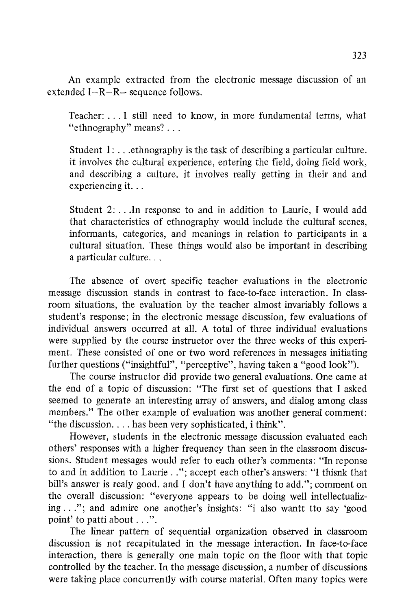An example extracted from the electronic message discussion of an extended  $I-R-R-$  sequence follows.

Teacher: ... I still need to know, in more fundamental terms, what "ethnography" means? ...

Student  $1:$ ... ethnography is the task of describing a particular culture. it involves the cultural experience, entering the field, doing field work, and describing a culture. it involves really getting in their and and experiencing it...

Student 2: .. .In response to and in addition to Laurie, I would add that characteristics of ethnography would include the cultural scenes, informants, categories, and meanings in relation to participants in a cultural situation. These things would also be important in describing a particular culture...

The absence of overt specific teacher evaluations in the electronic message discussion stands in contrast to face-to-face interaction. In classroom situations, the evaluation by the teacher almost invariably follows a student's response; in the electronic message discussion, few evaluations of individual answers occurred at all. A total of three individual evaluations were supplied by the course instructor over the three weeks of this experiment. These consisted of one or two word references in messages initiating further questions ("insightful", "perceptive", having taken a "good look").

The course instructor did provide two general evaluations. One came at the end of a topic of discussion: "The first set of questions that I asked seemed to generate an interesting array of answers, and dialog among class members." The other example of evaluation was another general comment: "the discussion .... has been very sophisticated, i think".

However, students in the electronic message discussion evaluated each others' responses with a higher frequency than seen in the classroom discussions. Student messages would refer to each other's comments: "In reponse to and in addition to Laurie .. "; accept each other's answers: "I thisnk that bill's answer is realy good. and I don't have anything to add."; comment on the overall discussion: "everyone appears to be doing well intellectualizing ... "; and admire one another's insights: "i also wantt tto say 'good point' to patti about ... ".

The linear pattern of sequential organization observed in classroom discussion is not recapitulated in the message interaction. In face-to-face interaction, there is generally one main topic on the floor with that topic controlled by the teacher. In the message discussion, a number of discussions were taking place concurrently with course material. Often many topics were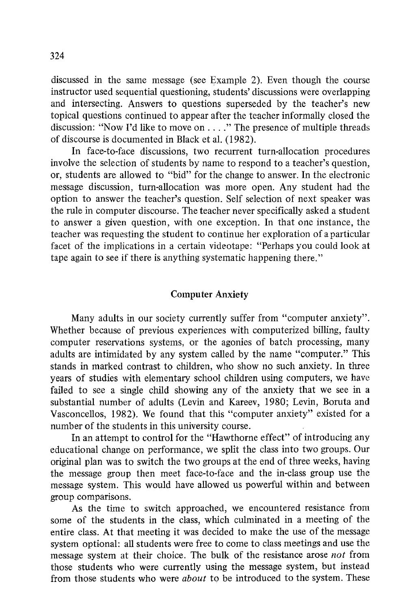discussed in the same message (see Example 2). Even though the course instructor used sequential questioning, students' discussions were overlapping and intersecting. Answers to questions superseded by the teacher's new topical questions continued to appear after the teacher informally closed the discussion: "Now I'd like to move on .... " The presence of multiple threads of discourse is documented in Black et al. (1982).

In face-to-face discussions, two recurrent turn-allocation procedures involve the selection of students by name to respond to a teacher's question, or, students are allowed to "bid" for the change to answer. In the electronic message discussion, turn-allocation was more open. Any student had the option to answer the teacher's question. Self selection of next speaker was the rule in computer discourse. The teacher never specifically asked a student to answer a given question, with one exception. In that one instance, the teacher was requesting the student to continue her exploration of a particular facet of the implications in a certain videotape: "Perhaps you could look at tape again to see if there is anything systematic happening there."

# **Computer Anxiety**

Many adults in our society currently suffer from "computer anxiety". Whether because of previous experiences with computerized billing, faulty computer reservations systems, or the agonies of batch processing, many adults are intimidated by any system called by the name "computer." This stands in marked contrast to children, who show no such anxiety. In three years of studies with elementary school children using computers, we have failed to see a single child showing any of the anxiety that we see in a substantial number of adults (Levin and Kareev, 1980; Levin, Boruta and Vasconcellos, 1982). We found that this "computer anxiety" existed for a number of the students in this university course.

In an attempt to control for the "Hawthorne effect" of introducing any educational change on performance, we split the class into two groups. Our original plan was to switch the two groups at the end of three weeks, having the message group then meet face-to-face and the in-class group use the message system. This would have allowed us powerful within and between group comparisons.

As the time to switch approached, we encountered resistance from some of the students in the class, which culminated in a meeting of the entire class. At that meeting it was decided to make the use of the message system optional: all students were free to come to class meetings and use the message system at their choice. The bulk of the resistance arose *not* from those students who were currently using the message system, but instead from those students who were *about* to be introduced to the system. These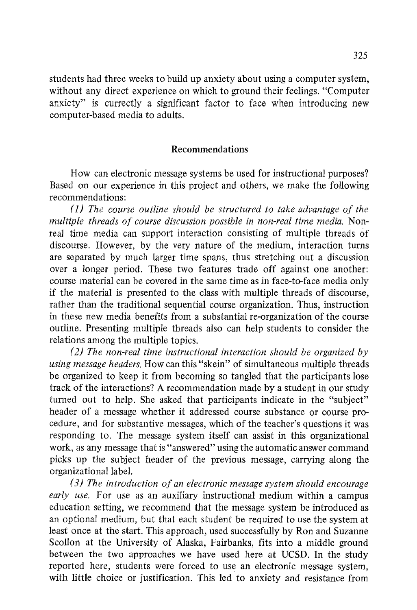students had three weeks to build up anxiety about using a computer system, without any direct experience on which to ground their feelings. "Computer anxiety" is currectly a significant factor to face when introducing new computer-based media to adults.

# **Recommendations**

How can electronic message systems be used for instructional purposes? Based on our experience in this project and others, we make the following recommendations:

*( 1) The course outline should be structured to take advantage of the multiple threads of course discussion possible in non-real time media.* Nonreal time media can support interaction consisting of multiple threads of discourse. However, by the very nature of the medium, interaction turns are separated by much larger time spans, thus stretching out a discussion over a longer period. These two features trade off against one another: course material can be covered in the same time as in face-to-face media only if the material is presented to the class with multiple threads of discourse, rather than the traditional sequential course organization. Thus, instruction in these new media benefits from a substantial re-organization of the course outline. Presenting multiple threads also can help students to consider the relations among the multiple topics.

*(2) The non-real time instructional interaction should be organized by using message headers.* How can this "skein" of simultaneous multiple threads be organized to keep it from becoming so tangled that the participants lose track of the interactions? A recommendation made by a student in our study turned out to help. She asked that participants indicate in the "subject" header of a message whether it addressed course substance or course procedure, and for substantive messages, which of the teacher's questions it was responding to. The message system itself can assist in this organizational work, as any message that is "answered" using the automatic answer command picks up the subject header of the previous message, carrying along the organizational label.

*( 3) The introduction of an electronic message system should encourage early use.* For use as an auxiliary instructional medium within a campus education setting, we recommend that the message system be introduced as an optional medium, but that each student be required to use the system at least once at the start. This approach, used successfully by Ron and Suzanne Scallon at the University of Alaska, Fairbanks, fits into a middle ground between the two approaches we have used here at UCSD. In the study reported here, students were forced to use an electronic message system, with little choice or justification. This led to anxiety and resistance from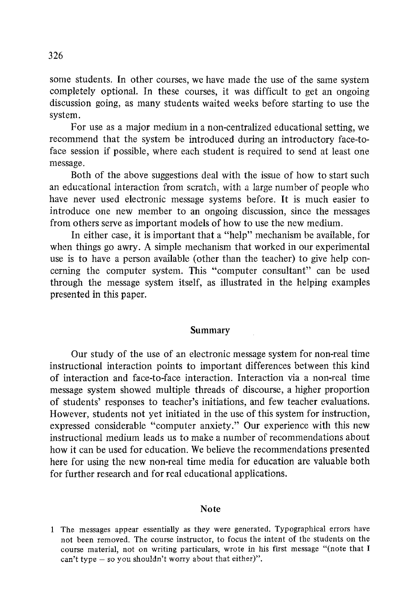some students. In other courses, we have made the use of the same system completely optional. In these courses, it was difficult to get an ongoing discussion going, as many students waited weeks before starting to use the system.

For use as a major medium in a non-centralized educational setting, we recommend that the system be introduced during an introductory face-toface session if possible, where each student is required to send at least one message.

Both of the above suggestions deal with the issue of how to start such an educational interaction from scratch, with a large number of people who have never used electronic message systems before. It is much easier to introduce one new member to an ongoing discussion, since the messages from others serve as important models of how to use the new medium.

In either case, it is important that a "help" mechanism be available, for when things go awry. A simple mechanism that worked in our experimental use is to have a person available (other than the teacher) to give help concerning the computer system. This "computer consultant" can be used through the message system itself, as illustrated in the helping examples presented in this paper.

## **Summary**

Our study of the use of an electronic message system for non-real time instructional interaction points to important differences between this kind of interaction and face-to-face interaction. Interaction via a non-real time message system showed multiple threads of discourse, a higher proportion of students' responses to teacher's initiations, and few teacher evaluations. However, students not yet initiated in the use of this system for instruction, expressed considerable "computer anxiety." Our experience with this new instructional medium leads us to make a number of recommendations about how it can be used for education. We believe the recommendations presented here for using the new non-real time media for education are valuable both for further research and for real educational applications.

# **Note**

The messages appear essentially as they were generated. Typographical errors have not been removed. The course instructor, to focus the intent of the students on the course material, not on writing particulars, wrote in his first message "(note that I can't type  $-$  so you shouldn't worry about that either)".